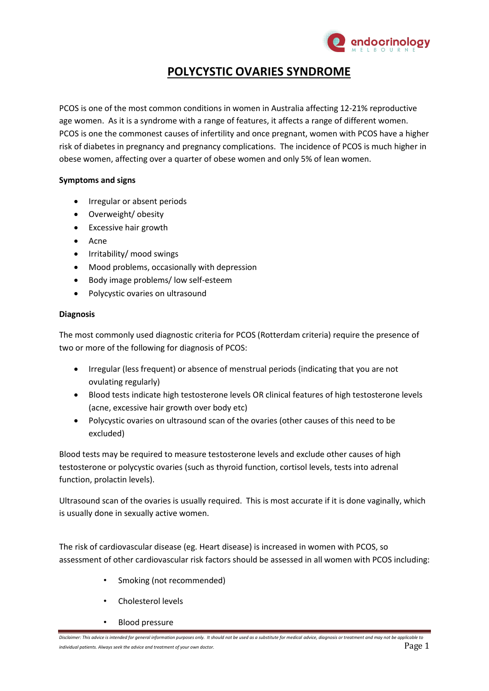

# **POLYCYSTIC OVARIES SYNDROME**

PCOS is one of the most common conditions in women in Australia affecting 12-21% reproductive age women. As it is a syndrome with a range of features, it affects a range of different women. PCOS is one the commonest causes of infertility and once pregnant, women with PCOS have a higher risk of diabetes in pregnancy and pregnancy complications. The incidence of PCOS is much higher in obese women, affecting over a quarter of obese women and only 5% of lean women.

## **Symptoms and signs**

- Irregular or absent periods
- Overweight/ obesity
- Excessive hair growth
- Acne
- Irritability/ mood swings
- Mood problems, occasionally with depression
- Body image problems/ low self-esteem
- Polycystic ovaries on ultrasound

## **Diagnosis**

The most commonly used diagnostic criteria for PCOS (Rotterdam criteria) require the presence of two or more of the following for diagnosis of PCOS:

- Irregular (less frequent) or absence of menstrual periods (indicating that you are not ovulating regularly)
- Blood tests indicate high testosterone levels OR clinical features of high testosterone levels (acne, excessive hair growth over body etc)
- Polycystic ovaries on ultrasound scan of the ovaries (other causes of this need to be excluded)

Blood tests may be required to measure testosterone levels and exclude other causes of high testosterone or polycystic ovaries (such as thyroid function, cortisol levels, tests into adrenal function, prolactin levels).

Ultrasound scan of the ovaries is usually required. This is most accurate if it is done vaginally, which is usually done in sexually active women.

The risk of cardiovascular disease (eg. Heart disease) is increased in women with PCOS, so assessment of other cardiovascular risk factors should be assessed in all women with PCOS including:

- Smoking (not recommended)
- Cholesterol levels
- Blood pressure

*Disclaimer: This advice is intended for general information purposes only. It should not be used as a substitute for medical advice, diagnosis or treatment and may not be applicable to individual patients. Always seek the advice and treatment of your own doctor.* Page 1